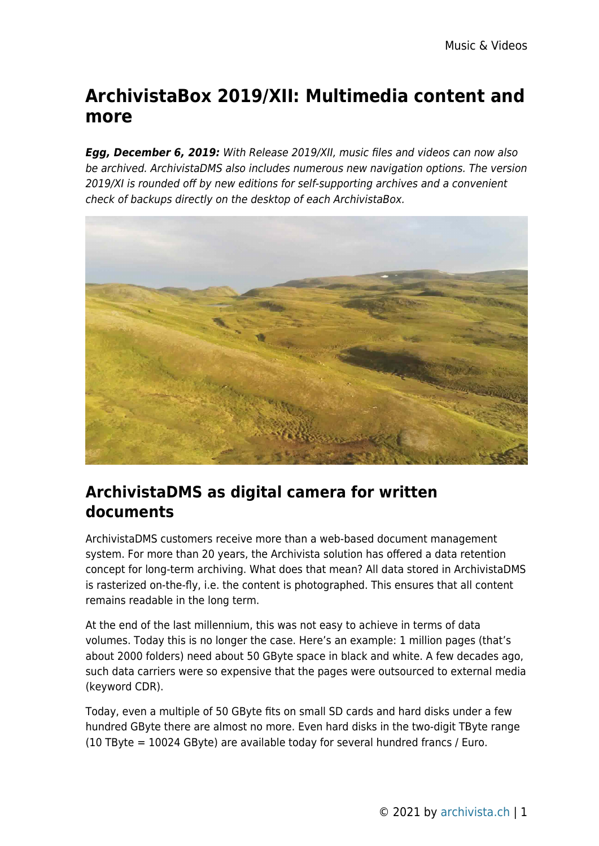# **ArchivistaBox 2019/XII: Multimedia content and more**

*Egg, December 6, 2019:* With Release 2019/XII, music files and videos can now also be archived. ArchivistaDMS also includes numerous new navigation options. The version 2019/XI is rounded off by new editions for self-supporting archives and a convenient check of backups directly on the desktop of each ArchivistaBox.



#### **ArchivistaDMS as digital camera for written documents**

ArchivistaDMS customers receive more than a web-based document management system. For more than 20 years, the Archivista solution has offered a data retention concept for long-term archiving. What does that mean? All data stored in ArchivistaDMS is rasterized on-the-fly, i.e. the content is photographed. This ensures that all content remains readable in the long term.

At the end of the last millennium, this was not easy to achieve in terms of data volumes. Today this is no longer the case. Here's an example: 1 million pages (that's about 2000 folders) need about 50 GByte space in black and white. A few decades ago, such data carriers were so expensive that the pages were outsourced to external media (keyword CDR).

Today, even a multiple of 50 GByte fits on small SD cards and hard disks under a few hundred GByte there are almost no more. Even hard disks in the two-digit TByte range (10 TByte = 10024 GByte) are available today for several hundred francs / Euro.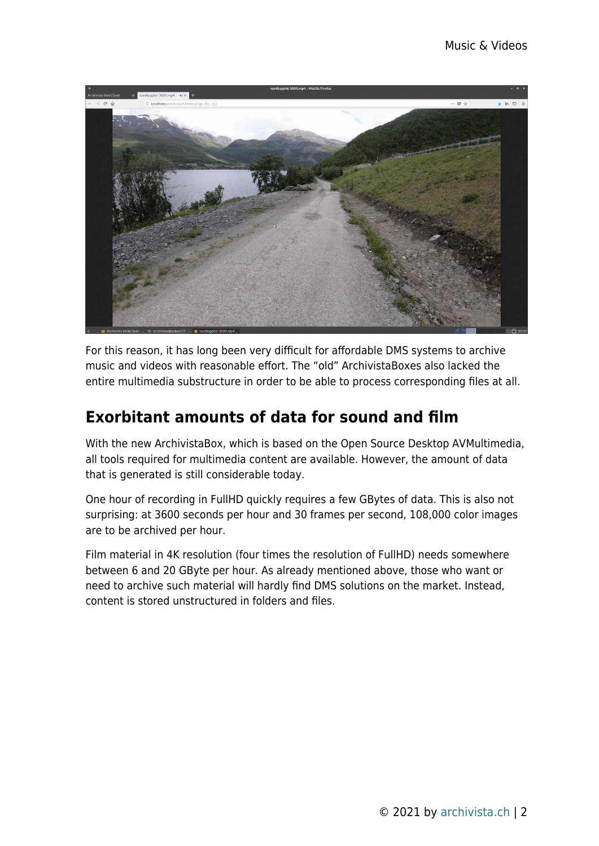

For this reason, it has long been very difficult for affordable DMS systems to archive music and videos with reasonable effort. The "old" ArchivistaBoxes also lacked the entire multimedia substructure in order to be able to process corresponding files at all.

### **Exorbitant amounts of data for sound and film**

With the new ArchivistaBox, which is based on the Open Source Desktop AVMultimedia, all tools required for multimedia content are available. However, the amount of data that is generated is still considerable today.

One hour of recording in FullHD quickly requires a few GBytes of data. This is also not surprising: at 3600 seconds per hour and 30 frames per second, 108,000 color images are to be archived per hour.

Film material in 4K resolution (four times the resolution of FullHD) needs somewhere between 6 and 20 GByte per hour. As already mentioned above, those who want or need to archive such material will hardly find DMS solutions on the market. Instead, content is stored unstructured in folders and files.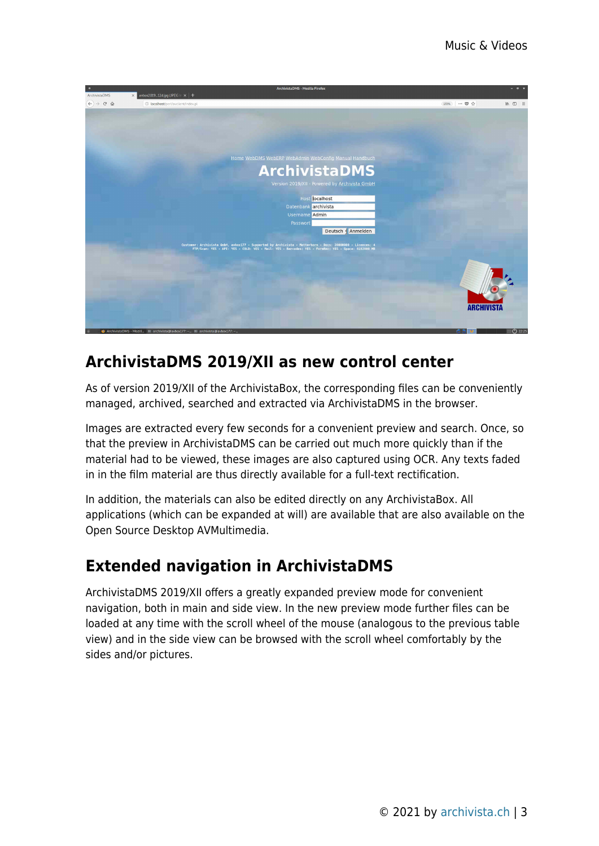

#### **ArchivistaDMS 2019/XII as new control center**

As of version 2019/XII of the ArchivistaBox, the corresponding files can be conveniently managed, archived, searched and extracted via ArchivistaDMS in the browser.

Images are extracted every few seconds for a convenient preview and search. Once, so that the preview in ArchivistaDMS can be carried out much more quickly than if the material had to be viewed, these images are also captured using OCR. Any texts faded in in the film material are thus directly available for a full-text rectification.

In addition, the materials can also be edited directly on any ArchivistaBox. All applications (which can be expanded at will) are available that are also available on the Open Source Desktop AVMultimedia.

## **Extended navigation in ArchivistaDMS**

ArchivistaDMS 2019/XII offers a greatly expanded preview mode for convenient navigation, both in main and side view. In the new preview mode further files can be loaded at any time with the scroll wheel of the mouse (analogous to the previous table view) and in the side view can be browsed with the scroll wheel comfortably by the sides and/or pictures.